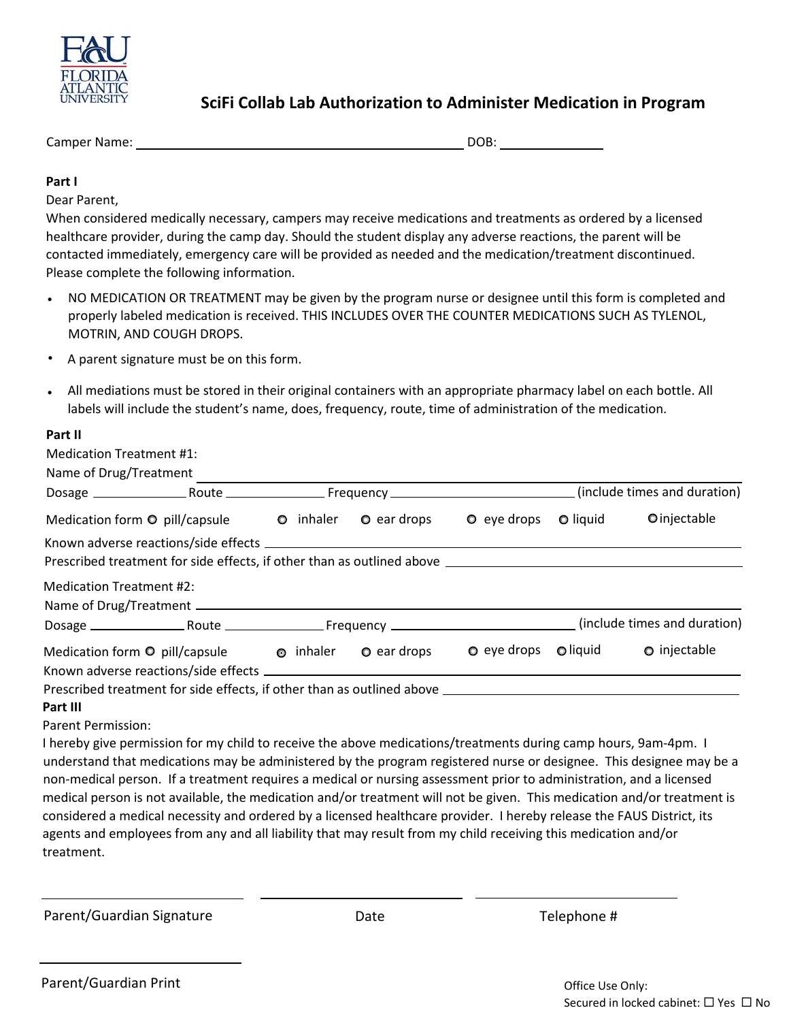

## **SciFi Collab Lab Authorization to Administer Medication in Program**

Camper Name: DOB: DOB:

## **Part I**

Dear Parent,

When considered medically necessary, campers may receive medications and treatments as ordered by a licensed healthcare provider, during the camp day. Should the student display any adverse reactions, the parent will be contacted immediately, emergency care will be provided as needed and the medication/treatment discontinued. Please complete the following information.

- NO MEDICATION OR TREATMENT may be given by the program nurse or designee until this form is completed and properly labeled medication is received. THIS INCLUDES OVER THE COUNTER MEDICATIONS SUCH AS TYLENOL, MOTRIN, AND COUGH DROPS.
- A parent signature must be on this form.
- All mediations must be stored in their original containers with an appropriate pharmacy label on each bottle. All labels will include the student's name, does, frequency, route, time of administration of the medication.

### **Part II**

| <b>Medication Treatment #1:</b>                                        |  |                                                                        |                                      |                              |                              |  |
|------------------------------------------------------------------------|--|------------------------------------------------------------------------|--------------------------------------|------------------------------|------------------------------|--|
| Name of Drug/Treatment                                                 |  |                                                                        |                                      |                              |                              |  |
|                                                                        |  |                                                                        |                                      | (include times and duration) |                              |  |
|                                                                        |  | Medication form $\odot$ pill/capsule $\odot$ inhaler $\odot$ ear drops | $\bullet$ eye drops                  | $\bullet$ liquid             | Oinjectable                  |  |
|                                                                        |  |                                                                        |                                      |                              |                              |  |
|                                                                        |  |                                                                        |                                      |                              |                              |  |
| Medication Treatment #2:                                               |  |                                                                        |                                      |                              |                              |  |
|                                                                        |  |                                                                        |                                      |                              |                              |  |
|                                                                        |  |                                                                        |                                      |                              | (include times and duration) |  |
| Medication form $\odot$ pill/capsule $\odot$ inhaler $\odot$ ear drops |  |                                                                        | $\bullet$ eye drops $\bullet$ liquid |                              | <b>O</b> injectable          |  |
|                                                                        |  |                                                                        |                                      |                              |                              |  |
|                                                                        |  |                                                                        |                                      |                              |                              |  |
| Part III                                                               |  |                                                                        |                                      |                              |                              |  |
| Parent Permission:                                                     |  |                                                                        |                                      |                              |                              |  |
|                                                                        |  |                                                                        |                                      |                              |                              |  |

I hereby give permission for my child to receive the above medications/treatments during camp hours, 9am-4pm. I understand that medications may be administered by the program registered nurse or designee. This designee may be a non-medical person. If a treatment requires a medical or nursing assessment prior to administration, and a licensed medical person is not available, the medication and/or treatment will not be given. This medication and/or treatment is considered a medical necessity and ordered by a licensed healthcare provider. I hereby release the FAUS District, its agents and employees from any and all liability that may result from my child receiving this medication and/or treatment.

Parent/Guardian Signature

Date Telephone #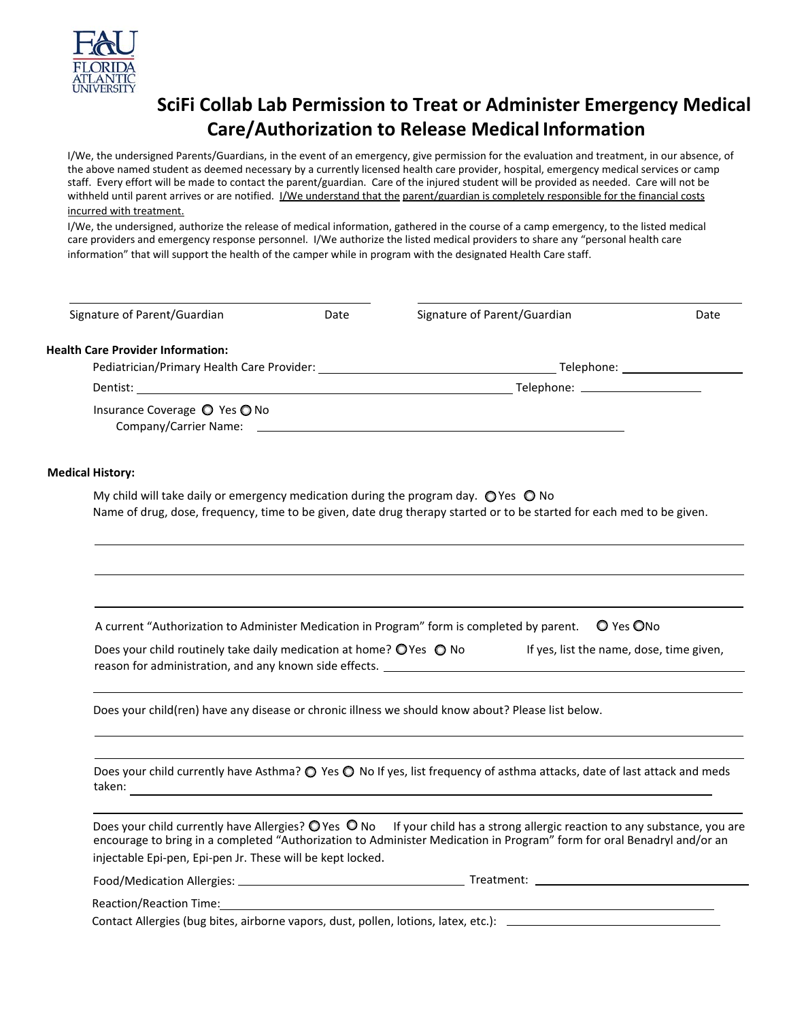

# **SciFi Collab Lab Permission to Treat or Administer Emergency Medical Care/Authorization to Release Medical Information**

I/We, the undersigned Parents/Guardians, in the event of an emergency, give permission for the evaluation and treatment, in our absence, of the above named student as deemed necessary by a currently licensed health care provider, hospital, emergency medical services or camp staff. Every effort will be made to contact the parent/guardian. Care of the injured student will be provided as needed. Care will not be withheld until parent arrives or are notified. I/We understand that the parent/guardian is completely responsible for the financial costs incurred with treatment.

I/We, the undersigned, authorize the release of medical information, gathered in the course of a camp emergency, to the listed medical care providers and emergency response personnel. I/We authorize the listed medical providers to share any "personal health care information" that will support the health of the camper while in program with the designated Health Care staff.

| Signature of Parent/Guardian                                                                                   | Date | Signature of Parent/Guardian                                                                                                                                                                                                                              | Date |
|----------------------------------------------------------------------------------------------------------------|------|-----------------------------------------------------------------------------------------------------------------------------------------------------------------------------------------------------------------------------------------------------------|------|
| <b>Health Care Provider Information:</b>                                                                       |      |                                                                                                                                                                                                                                                           |      |
|                                                                                                                |      |                                                                                                                                                                                                                                                           |      |
|                                                                                                                |      |                                                                                                                                                                                                                                                           |      |
| Insurance Coverage ○ Yes ○ No                                                                                  |      |                                                                                                                                                                                                                                                           |      |
| <b>Medical History:</b>                                                                                        |      |                                                                                                                                                                                                                                                           |      |
| My child will take daily or emergency medication during the program day. $\bigcirc$ Yes $\bigcirc$ No          |      | Name of drug, dose, frequency, time to be given, date drug therapy started or to be started for each med to be given.                                                                                                                                     |      |
|                                                                                                                |      |                                                                                                                                                                                                                                                           |      |
|                                                                                                                |      | A current "Authorization to Administer Medication in Program" form is completed by parent.  O Yes ONo                                                                                                                                                     |      |
| Does your child routinely take daily medication at home? $\bigcirc$ Yes $\bigcirc$ No                          |      | If yes, list the name, dose, time given,                                                                                                                                                                                                                  |      |
|                                                                                                                |      | Does your child(ren) have any disease or chronic illness we should know about? Please list below.                                                                                                                                                         |      |
|                                                                                                                |      | Does your child currently have Asthma? O Yes O No If yes, list frequency of asthma attacks, date of last attack and meds                                                                                                                                  |      |
| injectable Epi-pen, Epi-pen Jr. These will be kept locked.                                                     |      | Does your child currently have Allergies? $Q$ Yes $Q$ No If your child has a strong allergic reaction to any substance, you are<br>encourage to bring in a completed "Authorization to Administer Medication in Program" form for oral Benadryl and/or an |      |
|                                                                                                                |      |                                                                                                                                                                                                                                                           |      |
| Reaction/Reaction Time: Network of the set of the set of the set of the set of the set of the set of the set o |      |                                                                                                                                                                                                                                                           |      |
|                                                                                                                |      |                                                                                                                                                                                                                                                           |      |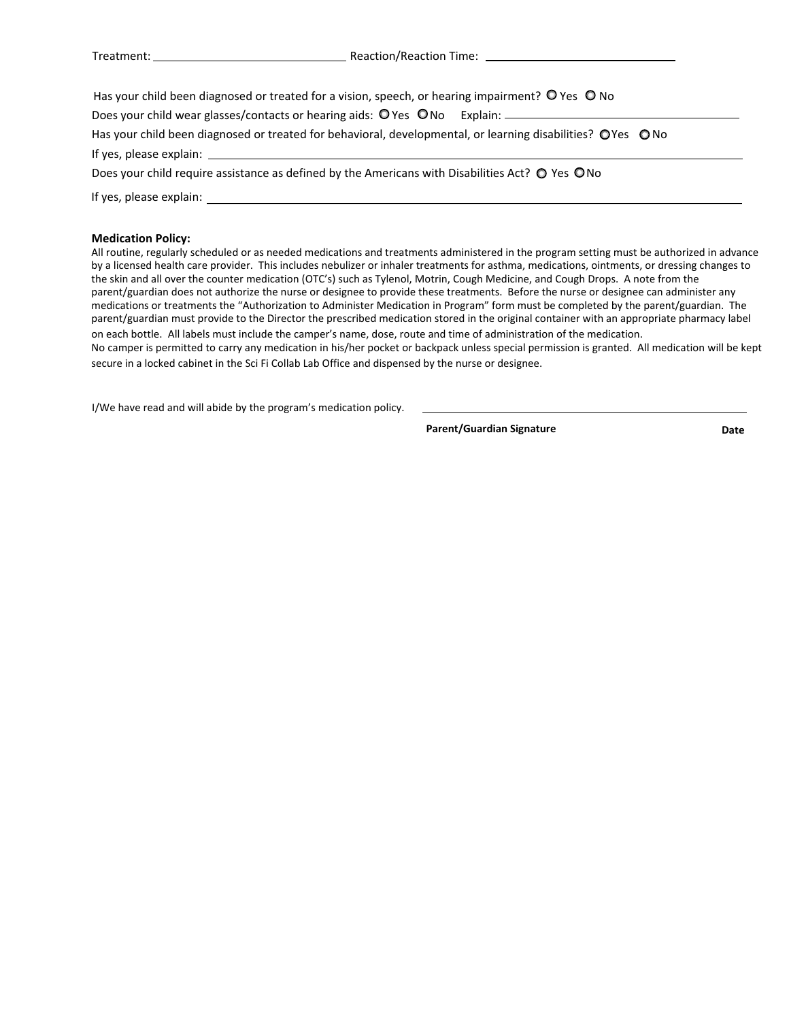Treatment: Reaction/Reaction Time:

| Has your child been diagnosed or treated for a vision, speech, or hearing impairment? O Yes O No           |  |  |  |  |  |
|------------------------------------------------------------------------------------------------------------|--|--|--|--|--|
| Does your child wear glasses/contacts or hearing aids: O Yes ONo Explain: _____________                    |  |  |  |  |  |
| Has your child been diagnosed or treated for behavioral, developmental, or learning disabilities? OYes ONo |  |  |  |  |  |
|                                                                                                            |  |  |  |  |  |
| Does your child require assistance as defined by the Americans with Disabilities Act? $\bigcirc$ Yes ONo   |  |  |  |  |  |
| If yes, please explain:                                                                                    |  |  |  |  |  |
|                                                                                                            |  |  |  |  |  |

#### **Medication Policy:**

All routine, regularly scheduled or as needed medications and treatments administered in the program setting must be authorized in advance by a licensed health care provider. This includes nebulizer or inhaler treatments for asthma, medications, ointments, or dressing changes to the skin and all over the counter medication (OTC's) such as Tylenol, Motrin, Cough Medicine, and Cough Drops. A note from the parent/guardian does not authorize the nurse or designee to provide these treatments. Before the nurse or designee can administer any medications or treatments the "Authorization to Administer Medication in Program" form must be completed by the parent/guardian. The parent/guardian must provide to the Director the prescribed medication stored in the original container with an appropriate pharmacy label on each bottle. All labels must include the camper's name, dose, route and time of administration of the medication. No camper is permitted to carry any medication in his/her pocket or backpack unless special permission is granted. All medication will be kept secure in a locked cabinet in the Sci Fi Collab Lab Office and dispensed by the nurse or designee.

I/We have read and will abide by the program's medication policy.

Parent/Guardian Signature **Date** Date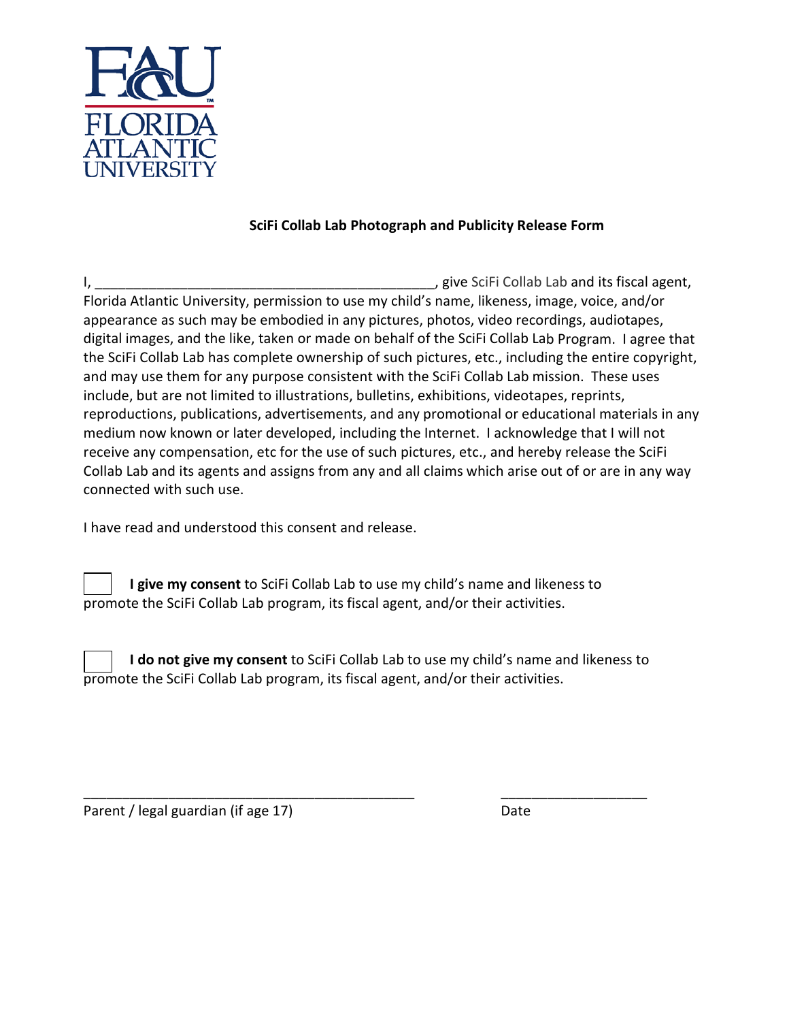

## **SciFi Collab Lab Photograph and Publicity Release Form**

I, \_\_\_\_\_\_\_\_\_\_\_\_\_\_\_\_\_\_\_\_\_\_\_\_\_\_\_\_\_\_\_\_\_\_\_\_\_\_\_\_\_\_\_\_, give SciFi Collab Lab and its fiscal agent, Florida Atlantic University, permission to use my child's name, likeness, image, voice, and/or appearance as such may be embodied in any pictures, photos, video recordings, audiotapes, digital images, and the like, taken or made on behalf of the SciFi Collab Lab Program. I agree that the SciFi Collab Lab has complete ownership of such pictures, etc., including the entire copyright, and may use them for any purpose consistent with the SciFi Collab Lab mission. These uses include, but are not limited to illustrations, bulletins, exhibitions, videotapes, reprints, reproductions, publications, advertisements, and any promotional or educational materials in any medium now known or later developed, including the Internet. I acknowledge that I will not receive any compensation, etc for the use of such pictures, etc., and hereby release the SciFi Collab Lab and its agents and assigns from any and all claims which arise out of or are in any way connected with such use.

I have read and understood this consent and release.

**I give my consent** to SciFi Collab Lab to use my child's name and likeness to promote the SciFi Collab Lab program, its fiscal agent, and/or their activities.

**I do not give my consent** to SciFi Collab Lab to use my child's name and likeness to promote the SciFi Collab Lab program, its fiscal agent, and/or their activities.

\_\_\_\_\_\_\_\_\_\_\_\_\_\_\_\_\_\_\_\_\_\_\_\_\_\_\_\_\_\_\_\_\_\_\_\_\_\_\_\_\_\_\_ \_\_\_\_\_\_\_\_\_\_\_\_\_\_\_\_\_\_\_

Parent / legal guardian (if age 17) Date